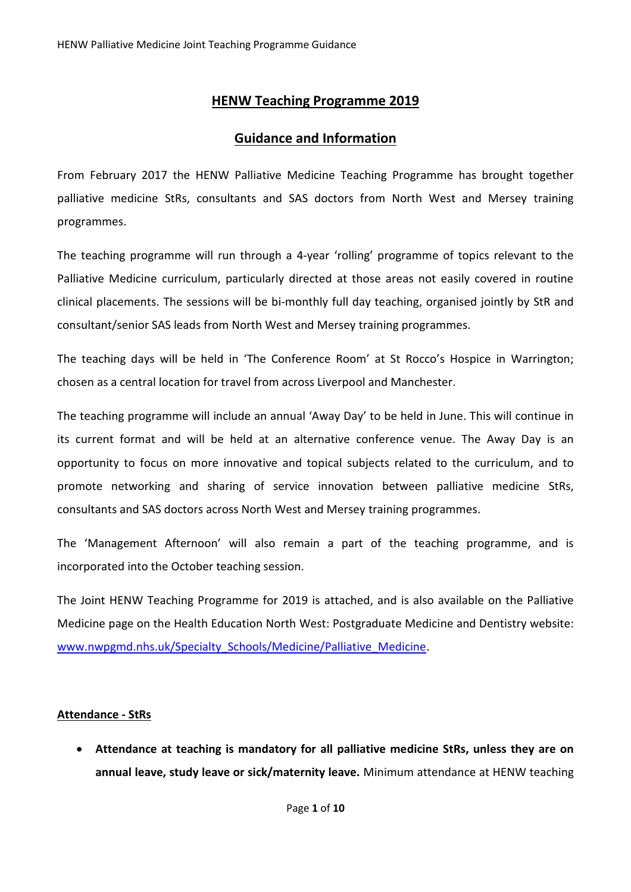# **HENW Teaching Programme 2019**

# **Guidance and Information**

From February 2017 the HENW Palliative Medicine Teaching Programme has brought together palliative medicine StRs, consultants and SAS doctors from North West and Mersey training programmes.

The teaching programme will run through a 4-year 'rolling' programme of topics relevant to the Palliative Medicine curriculum, particularly directed at those areas not easily covered in routine clinical placements. The sessions will be bi-monthly full day teaching, organised jointly by StR and consultant/senior SAS leads from North West and Mersey training programmes.

The teaching days will be held in 'The Conference Room' at St Rocco's Hospice in Warrington; chosen as a central location for travel from across Liverpool and Manchester.

The teaching programme will include an annual 'Away Day' to be held in June. This will continue in its current format and will be held at an alternative conference venue. The Away Day is an opportunity to focus on more innovative and topical subjects related to the curriculum, and to promote networking and sharing of service innovation between palliative medicine StRs, consultants and SAS doctors across North West and Mersey training programmes.

The 'Management Afternoon' will also remain a part of the teaching programme, and is incorporated into the October teaching session.

The Joint HENW Teaching Programme for 2019 is attached, and is also available on the Palliative Medicine page on the Health Education North West: Postgraduate Medicine and Dentistry website: [www.nwpgmd.nhs.uk/Specialty\\_Schools/Medicine/Palliative\\_Medicine.](http://www.nwpgmd.nhs.uk/Specialty_Schools/Medicine/Palliative_Medicine)

## **Attendance - StRs**

• **Attendance at teaching is mandatory for all palliative medicine StRs, unless they are on annual leave, study leave or sick/maternity leave.** Minimum attendance at HENW teaching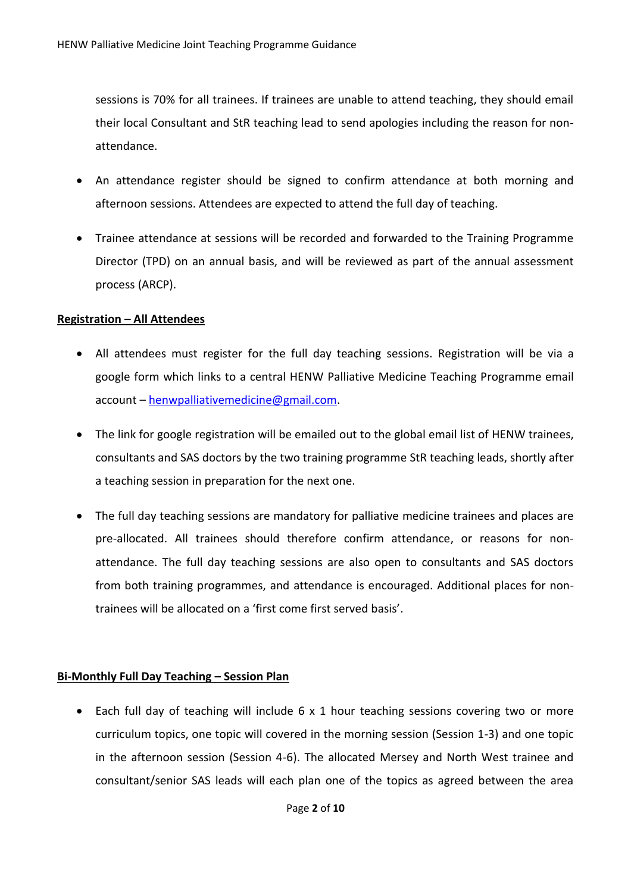sessions is 70% for all trainees. If trainees are unable to attend teaching, they should email their local Consultant and StR teaching lead to send apologies including the reason for nonattendance.

- An attendance register should be signed to confirm attendance at both morning and afternoon sessions. Attendees are expected to attend the full day of teaching.
- Trainee attendance at sessions will be recorded and forwarded to the Training Programme Director (TPD) on an annual basis, and will be reviewed as part of the annual assessment process (ARCP).

#### **Registration – All Attendees**

- All attendees must register for the full day teaching sessions. Registration will be via a google form which links to a central HENW Palliative Medicine Teaching Programme email account – [henwpalliativemedicine@gmail.com.](mailto:henwpalliativemedicine@gmail.com)
- The link for google registration will be emailed out to the global email list of HENW trainees, consultants and SAS doctors by the two training programme StR teaching leads, shortly after a teaching session in preparation for the next one.
- The full day teaching sessions are mandatory for palliative medicine trainees and places are pre-allocated. All trainees should therefore confirm attendance, or reasons for nonattendance. The full day teaching sessions are also open to consultants and SAS doctors from both training programmes, and attendance is encouraged. Additional places for nontrainees will be allocated on a 'first come first served basis'.

## **Bi-Monthly Full Day Teaching – Session Plan**

• Each full day of teaching will include 6 x 1 hour teaching sessions covering two or more curriculum topics, one topic will covered in the morning session (Session 1-3) and one topic in the afternoon session (Session 4-6). The allocated Mersey and North West trainee and consultant/senior SAS leads will each plan one of the topics as agreed between the area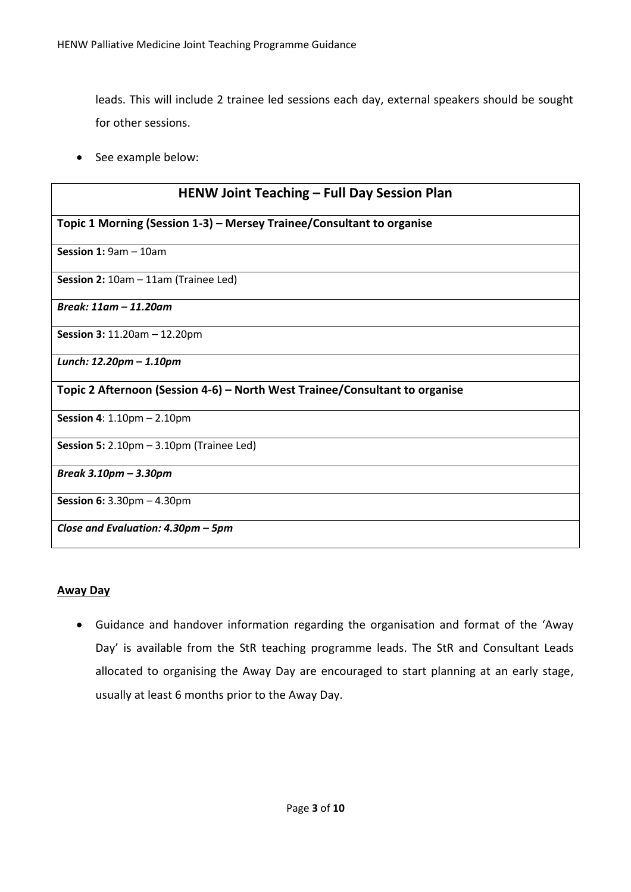leads. This will include 2 trainee led sessions each day, external speakers should be sought for other sessions.

• See example below:

| <b>HENW Joint Teaching - Full Day Session Plan</b><br>Topic 1 Morning (Session 1-3) – Mersey Trainee/Consultant to organise |  |  |  |  |  |
|-----------------------------------------------------------------------------------------------------------------------------|--|--|--|--|--|
|                                                                                                                             |  |  |  |  |  |
| Session 2: 10am - 11am (Trainee Led)                                                                                        |  |  |  |  |  |
| Break: 11am - 11.20am                                                                                                       |  |  |  |  |  |
| Session 3: 11.20am - 12.20pm                                                                                                |  |  |  |  |  |
| Lunch: 12.20pm - 1.10pm                                                                                                     |  |  |  |  |  |
| Topic 2 Afternoon (Session 4-6) – North West Trainee/Consultant to organise                                                 |  |  |  |  |  |
| <b>Session 4:</b> $1.10 \text{pm} - 2.10 \text{pm}$                                                                         |  |  |  |  |  |
| Session 5: $2.10 \text{pm} - 3.10 \text{pm}$ (Trainee Led)                                                                  |  |  |  |  |  |
| Break 3.10pm - 3.30pm                                                                                                       |  |  |  |  |  |
| <b>Session 6:</b> $3.30 \text{pm} - 4.30 \text{pm}$                                                                         |  |  |  |  |  |
| Close and Evaluation: 4.30pm - 5pm                                                                                          |  |  |  |  |  |

## **Away Day**

• Guidance and handover information regarding the organisation and format of the 'Away Day' is available from the StR teaching programme leads. The StR and Consultant Leads allocated to organising the Away Day are encouraged to start planning at an early stage, usually at least 6 months prior to the Away Day.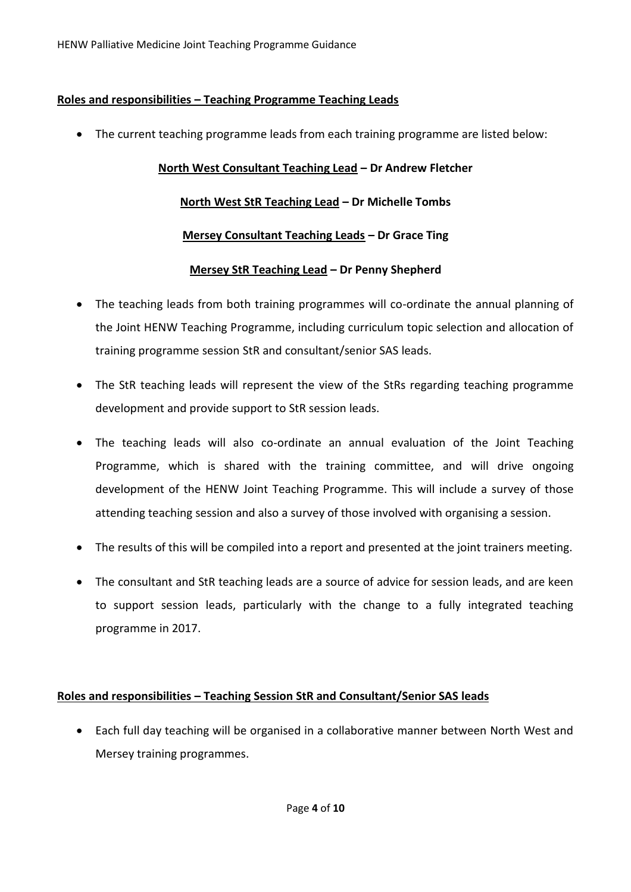## **Roles and responsibilities – Teaching Programme Teaching Leads**

• The current teaching programme leads from each training programme are listed below:

## **North West Consultant Teaching Lead – Dr Andrew Fletcher**

## **North West StR Teaching Lead – Dr Michelle Tombs**

## **Mersey Consultant Teaching Leads – Dr Grace Ting**

## **Mersey StR Teaching Lead – Dr Penny Shepherd**

- The teaching leads from both training programmes will co-ordinate the annual planning of the Joint HENW Teaching Programme, including curriculum topic selection and allocation of training programme session StR and consultant/senior SAS leads.
- The StR teaching leads will represent the view of the StRs regarding teaching programme development and provide support to StR session leads.
- The teaching leads will also co-ordinate an annual evaluation of the Joint Teaching Programme, which is shared with the training committee, and will drive ongoing development of the HENW Joint Teaching Programme. This will include a survey of those attending teaching session and also a survey of those involved with organising a session.
- The results of this will be compiled into a report and presented at the joint trainers meeting.
- The consultant and StR teaching leads are a source of advice for session leads, and are keen to support session leads, particularly with the change to a fully integrated teaching programme in 2017.

## **Roles and responsibilities – Teaching Session StR and Consultant/Senior SAS leads**

• Each full day teaching will be organised in a collaborative manner between North West and Mersey training programmes.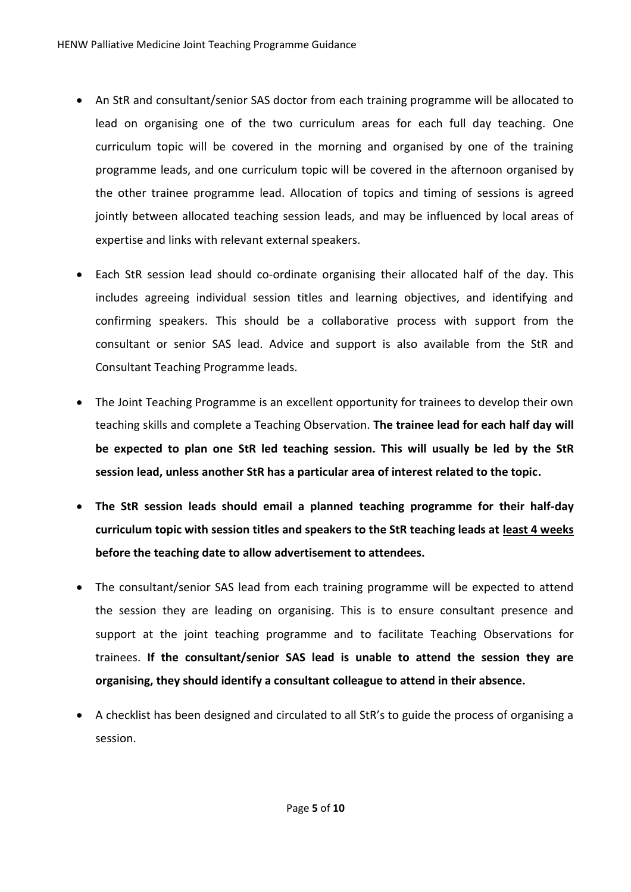- An StR and consultant/senior SAS doctor from each training programme will be allocated to lead on organising one of the two curriculum areas for each full day teaching. One curriculum topic will be covered in the morning and organised by one of the training programme leads, and one curriculum topic will be covered in the afternoon organised by the other trainee programme lead. Allocation of topics and timing of sessions is agreed jointly between allocated teaching session leads, and may be influenced by local areas of expertise and links with relevant external speakers.
- Each StR session lead should co-ordinate organising their allocated half of the day. This includes agreeing individual session titles and learning objectives, and identifying and confirming speakers. This should be a collaborative process with support from the consultant or senior SAS lead. Advice and support is also available from the StR and Consultant Teaching Programme leads.
- The Joint Teaching Programme is an excellent opportunity for trainees to develop their own teaching skills and complete a Teaching Observation. **The trainee lead for each half day will be expected to plan one StR led teaching session. This will usually be led by the StR session lead, unless another StR has a particular area of interest related to the topic.**
- **The StR session leads should email a planned teaching programme for their half-day curriculum topic with session titles and speakers to the StR teaching leads at least 4 weeks before the teaching date to allow advertisement to attendees.**
- The consultant/senior SAS lead from each training programme will be expected to attend the session they are leading on organising. This is to ensure consultant presence and support at the joint teaching programme and to facilitate Teaching Observations for trainees. **If the consultant/senior SAS lead is unable to attend the session they are organising, they should identify a consultant colleague to attend in their absence.**
- A checklist has been designed and circulated to all StR's to guide the process of organising a session.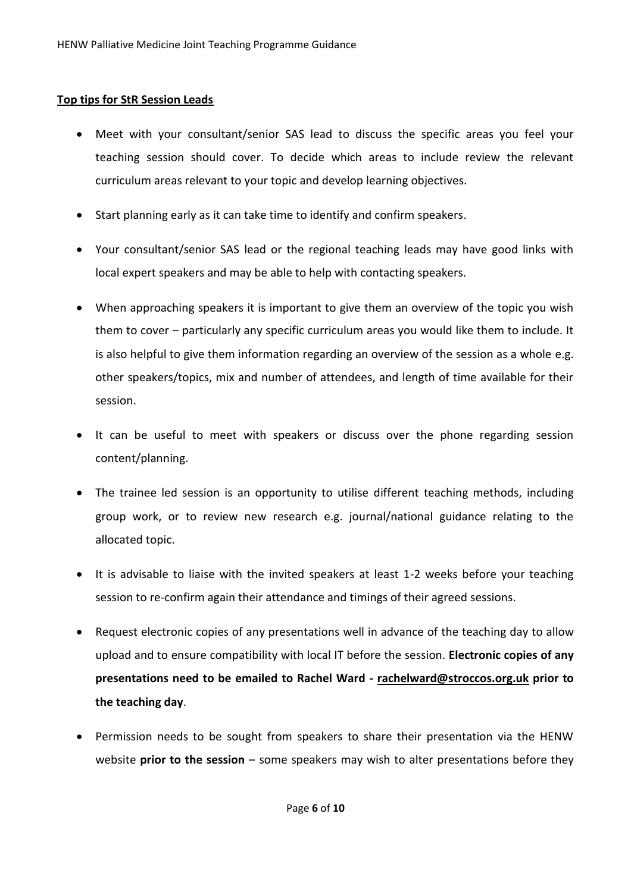#### **Top tips for StR Session Leads**

- Meet with your consultant/senior SAS lead to discuss the specific areas you feel your teaching session should cover. To decide which areas to include review the relevant curriculum areas relevant to your topic and develop learning objectives.
- Start planning early as it can take time to identify and confirm speakers.
- Your consultant/senior SAS lead or the regional teaching leads may have good links with local expert speakers and may be able to help with contacting speakers.
- When approaching speakers it is important to give them an overview of the topic you wish them to cover – particularly any specific curriculum areas you would like them to include. It is also helpful to give them information regarding an overview of the session as a whole e.g. other speakers/topics, mix and number of attendees, and length of time available for their session.
- It can be useful to meet with speakers or discuss over the phone regarding session content/planning.
- The trainee led session is an opportunity to utilise different teaching methods, including group work, or to review new research e.g. journal/national guidance relating to the allocated topic.
- It is advisable to liaise with the invited speakers at least 1-2 weeks before your teaching session to re-confirm again their attendance and timings of their agreed sessions.
- Request electronic copies of any presentations well in advance of the teaching day to allow upload and to ensure compatibility with local IT before the session. **Electronic copies of any presentations need to be emailed to Rachel Ward - rachelward@stroccos.org.uk prior to the teaching day**.
- Permission needs to be sought from speakers to share their presentation via the HENW website **prior to the session** – some speakers may wish to alter presentations before they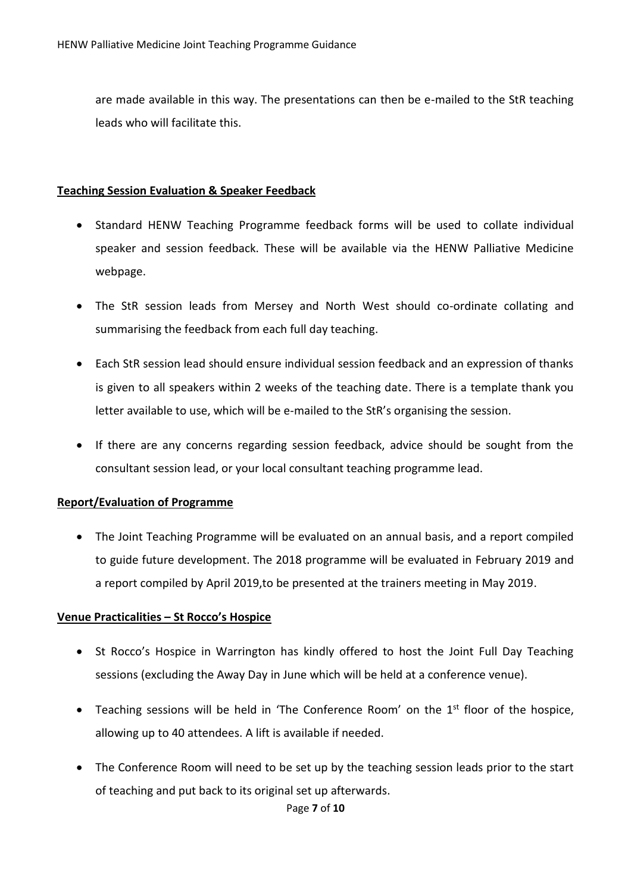are made available in this way. The presentations can then be e-mailed to the StR teaching leads who will facilitate this.

#### **Teaching Session Evaluation & Speaker Feedback**

- Standard HENW Teaching Programme feedback forms will be used to collate individual speaker and session feedback. These will be available via the HENW Palliative Medicine webpage.
- The StR session leads from Mersey and North West should co-ordinate collating and summarising the feedback from each full day teaching.
- Each StR session lead should ensure individual session feedback and an expression of thanks is given to all speakers within 2 weeks of the teaching date. There is a template thank you letter available to use, which will be e-mailed to the StR's organising the session.
- If there are any concerns regarding session feedback, advice should be sought from the consultant session lead, or your local consultant teaching programme lead.

## **Report/Evaluation of Programme**

• The Joint Teaching Programme will be evaluated on an annual basis, and a report compiled to guide future development. The 2018 programme will be evaluated in February 2019 and a report compiled by April 2019,to be presented at the trainers meeting in May 2019.

## **Venue Practicalities – St Rocco's Hospice**

- St Rocco's Hospice in Warrington has kindly offered to host the Joint Full Day Teaching sessions (excluding the Away Day in June which will be held at a conference venue).
- Teaching sessions will be held in 'The Conference Room' on the 1<sup>st</sup> floor of the hospice, allowing up to 40 attendees. A lift is available if needed.
- The Conference Room will need to be set up by the teaching session leads prior to the start of teaching and put back to its original set up afterwards.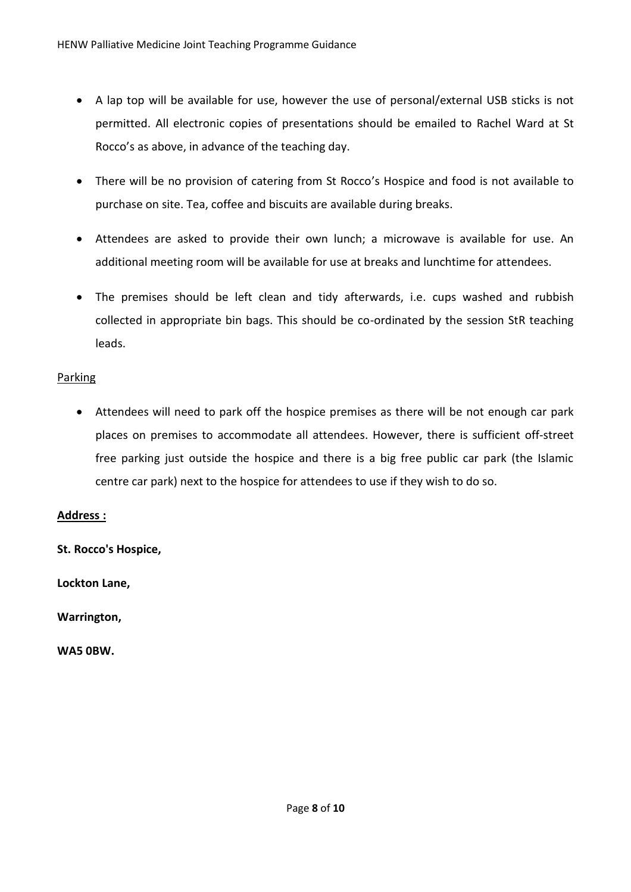- A lap top will be available for use, however the use of personal/external USB sticks is not permitted. All electronic copies of presentations should be emailed to Rachel Ward at St Rocco's as above, in advance of the teaching day.
- There will be no provision of catering from St Rocco's Hospice and food is not available to purchase on site. Tea, coffee and biscuits are available during breaks.
- Attendees are asked to provide their own lunch; a microwave is available for use. An additional meeting room will be available for use at breaks and lunchtime for attendees.
- The premises should be left clean and tidy afterwards, i.e. cups washed and rubbish collected in appropriate bin bags. This should be co-ordinated by the session StR teaching leads.

# Parking

• Attendees will need to park off the hospice premises as there will be not enough car park places on premises to accommodate all attendees. However, there is sufficient off-street free parking just outside the hospice and there is a big free public car park (the Islamic centre car park) next to the hospice for attendees to use if they wish to do so.

## **Address :**

**St. Rocco's Hospice,** 

**Lockton Lane,** 

**Warrington,** 

**WA5 0BW.**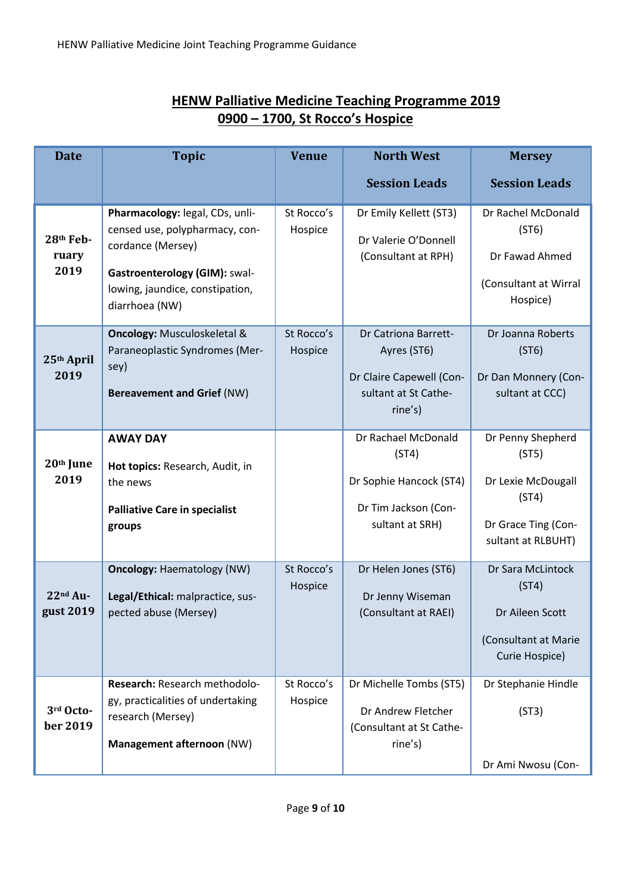| <b>Date</b>                | <b>Topic</b>                                                                                                                                                                 | <b>Venue</b>          | <b>North West</b>                                                                                  | <b>Mersey</b>                                                                                          |
|----------------------------|------------------------------------------------------------------------------------------------------------------------------------------------------------------------------|-----------------------|----------------------------------------------------------------------------------------------------|--------------------------------------------------------------------------------------------------------|
|                            |                                                                                                                                                                              |                       | <b>Session Leads</b>                                                                               | <b>Session Leads</b>                                                                                   |
| 28th Feb-<br>ruary<br>2019 | Pharmacology: legal, CDs, unli-<br>censed use, polypharmacy, con-<br>cordance (Mersey)<br>Gastroenterology (GIM): swal-<br>lowing, jaundice, constipation,<br>diarrhoea (NW) | St Rocco's<br>Hospice | Dr Emily Kellett (ST3)<br>Dr Valerie O'Donnell<br>(Consultant at RPH)                              | Dr Rachel McDonald<br>(ST6)<br>Dr Fawad Ahmed<br>(Consultant at Wirral<br>Hospice)                     |
| 25th April<br>2019         | <b>Oncology: Musculoskeletal &amp;</b><br>Paraneoplastic Syndromes (Mer-<br>sey)<br><b>Bereavement and Grief (NW)</b>                                                        | St Rocco's<br>Hospice | Dr Catriona Barrett-<br>Ayres (ST6)<br>Dr Claire Capewell (Con-<br>sultant at St Cathe-<br>rine's) | Dr Joanna Roberts<br>(ST6)<br>Dr Dan Monnery (Con-<br>sultant at CCC)                                  |
| 20th June<br>2019          | <b>AWAY DAY</b><br>Hot topics: Research, Audit, in<br>the news<br><b>Palliative Care in specialist</b><br>groups                                                             |                       | Dr Rachael McDonald<br>(ST4)<br>Dr Sophie Hancock (ST4)<br>Dr Tim Jackson (Con-<br>sultant at SRH) | Dr Penny Shepherd<br>(ST5)<br>Dr Lexie McDougall<br>(ST4)<br>Dr Grace Ting (Con-<br>sultant at RLBUHT) |
| 22nd Au-<br>gust 2019      | <b>Oncology: Haematology (NW)</b><br>Legal/Ethical: malpractice, sus-<br>pected abuse (Mersey)                                                                               | St Rocco's<br>Hospice | Dr Helen Jones (ST6)<br>Dr Jenny Wiseman<br>(Consultant at RAEI)                                   | Dr Sara McLintock<br>(ST4)<br>Dr Aileen Scott<br>(Consultant at Marie<br>Curie Hospice)                |
| 3rd Octo-<br>ber 2019      | Research: Research methodolo-<br>gy, practicalities of undertaking<br>research (Mersey)<br>Management afternoon (NW)                                                         | St Rocco's<br>Hospice | Dr Michelle Tombs (ST5)<br>Dr Andrew Fletcher<br>(Consultant at St Cathe-<br>rine's)               | Dr Stephanie Hindle<br>(ST3)<br>Dr Ami Nwosu (Con-                                                     |

# **HENW Palliative Medicine Teaching Programme 2019 0900 – 1700, St Rocco's Hospice**